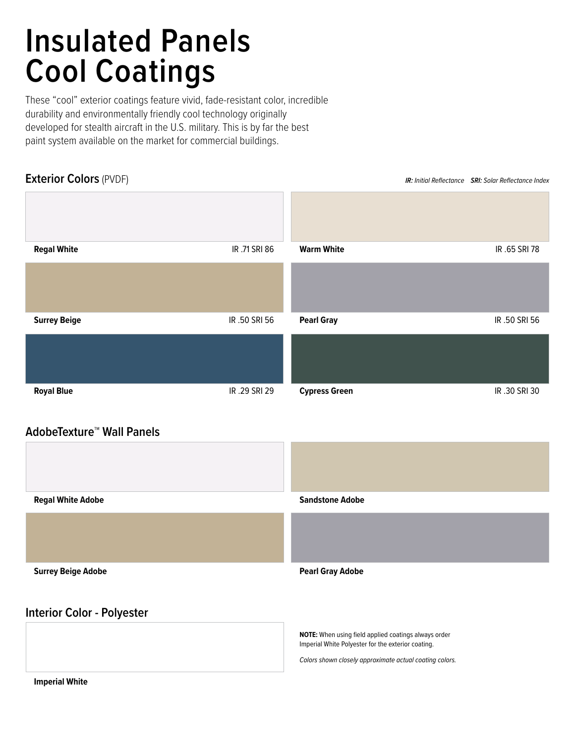# **Insulated Panels Cool Coatings**

These "cool" exterior coatings feature vivid, fade-resistant color, incredible durability and environmentally friendly cool technology originally developed for stealth aircraft in the U.S. military. This is by far the best paint system available on the market for commercial buildings.

# **Exterior Colors** (PVDF) *IR: Initial Reflectance SRI: Solar Reflectance Index*



## **AdobeTexture™ Wall Panels**

| <b>Regal White Adobe</b>          | <b>Sandstone Adobe</b>                                                                                     |
|-----------------------------------|------------------------------------------------------------------------------------------------------------|
|                                   |                                                                                                            |
| <b>Surrey Beige Adobe</b>         | <b>Pearl Gray Adobe</b>                                                                                    |
| <b>Interior Color - Polyester</b> |                                                                                                            |
|                                   | NOTE: When using field applied coatings always order<br>Imperial White Polyester for the exterior coating. |

*Colors shown closely approximate actual coating colors.*